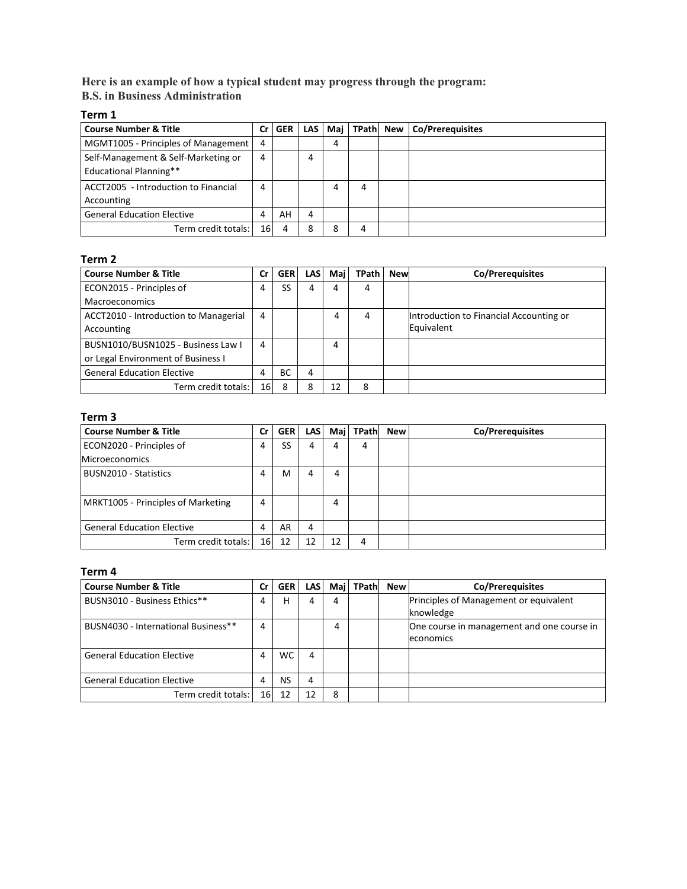**Here is an example of how a typical student may progress through the program: B.S. in Business Administration**

### **Term 1**

| <b>Course Number &amp; Title</b>                                     | Cr | <b>GER</b> | <b>LAS</b> | Maj | TPath New | Co/Prerequisites |
|----------------------------------------------------------------------|----|------------|------------|-----|-----------|------------------|
| MGMT1005 - Principles of Management                                  | 4  |            |            | 4   |           |                  |
| Self-Management & Self-Marketing or<br><b>Educational Planning**</b> | 4  |            | 4          |     |           |                  |
| ACCT2005 - Introduction to Financial<br>Accounting                   | 4  |            |            | 4   | 4         |                  |
| <b>General Education Elective</b>                                    | Δ  | AH         | 4          |     |           |                  |
| Term credit totals:                                                  | 16 | Δ          | 8          | 8   | 4         |                  |

### **Term 2**

| <b>Course Number &amp; Title</b>      | Cr | <b>GER</b> | <b>LAS</b> | Mai | <b>TPath</b> | <b>New</b> | Co/Prerequisites                        |
|---------------------------------------|----|------------|------------|-----|--------------|------------|-----------------------------------------|
| ECON2015 - Principles of              | 4  | SS         | 4          | 4   | 4            |            |                                         |
| <b>Macroeconomics</b>                 |    |            |            |     |              |            |                                         |
| ACCT2010 - Introduction to Managerial | 4  |            |            | 4   | 4            |            | Introduction to Financial Accounting or |
| Accounting                            |    |            |            |     |              |            | Equivalent                              |
| BUSN1010/BUSN1025 - Business Law I    | 4  |            |            | 4   |              |            |                                         |
| or Legal Environment of Business I    |    |            |            |     |              |            |                                         |
| <b>General Education Elective</b>     | 4  | <b>BC</b>  | 4          |     |              |            |                                         |
| Term credit totals:                   | 16 | 8          | 8          | 12  | 8            |            |                                         |

## **Term 3**

| <b>Course Number &amp; Title</b>   | Cr              | <b>GER</b> | <b>LAS</b> | Mail | TPath | <b>New</b> | Co/Prerequisites |
|------------------------------------|-----------------|------------|------------|------|-------|------------|------------------|
| ECON2020 - Principles of           | 4               | SS         | 4          | 4    | 4     |            |                  |
| <b>Microeconomics</b>              |                 |            |            |      |       |            |                  |
| BUSN2010 - Statistics              | 4               | M          | 4          | 4    |       |            |                  |
|                                    |                 |            |            |      |       |            |                  |
| MRKT1005 - Principles of Marketing | 4               |            |            | 4    |       |            |                  |
|                                    |                 |            |            |      |       |            |                  |
| <b>General Education Elective</b>  | 4               | AR         | 4          |      |       |            |                  |
| Term credit totals:                | 16 <sub>1</sub> | 12         | 12         | 12   | 4     |            |                  |

### **Term 4**

| <b>Course Number &amp; Title</b>    | Cr        | <b>GER</b> | <b>LAS</b> | Mail | <b>TPath</b> | <b>New</b> | <b>Co/Prerequisites</b>                                 |
|-------------------------------------|-----------|------------|------------|------|--------------|------------|---------------------------------------------------------|
| BUSN3010 - Business Ethics**        | 4         | н          | 4          | 4    |              |            | Principles of Management or equivalent<br>knowledge     |
| BUSN4030 - International Business** | 4         |            |            | 4    |              |            | One course in management and one course in<br>economics |
| <b>General Education Elective</b>   | 4         | WC.        | 4          |      |              |            |                                                         |
| <b>General Education Elective</b>   |           | NS         | 4          |      |              |            |                                                         |
| Term credit totals:                 | <b>16</b> | 12         | 12         | 8    |              |            |                                                         |